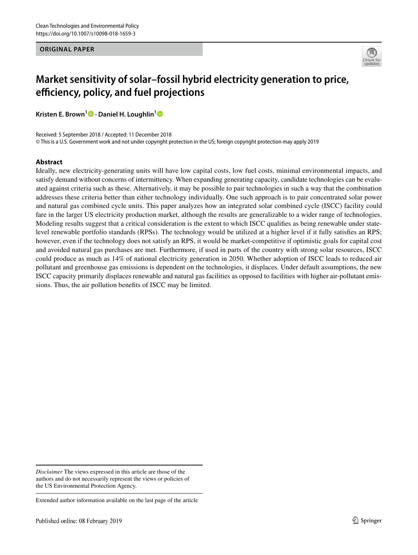#### **ORIGINAL PAPER**



# **Market sensitivity of solar–fossil hybrid electricity generation to price, efficiency, policy, and fuel projections**

**Kristen E. Brown<sup>[1](http://orcid.org/0000-0002-5102-3507)</sup> • Daniel H. Loughlin<sup>1</sup> •** 

Received: 5 September 2018 / Accepted: 11 December 2018 © This is a U.S. Government work and not under copyright protection in the US; foreign copyright protection may apply 2019

#### **Abstract**

Ideally, new electricity-generating units will have low capital costs, low fuel costs, minimal environmental impacts, and satisfy demand without concerns of intermittency. When expanding generating capacity, candidate technologies can be evaluated against criteria such as these. Alternatively, it may be possible to pair technologies in such a way that the combination addresses these criteria better than either technology individually. One such approach is to pair concentrated solar power and natural gas combined cycle units. This paper analyzes how an integrated solar combined cycle (ISCC) facility could fare in the larger US electricity production market, although the results are generalizable to a wider range of technologies. Modeling results suggest that a critical consideration is the extent to which ISCC qualifes as being renewable under statelevel renewable portfolio standards (RPSs). The technology would be utilized at a higher level if it fully satisfes an RPS; however, even if the technology does not satisfy an RPS, it would be market-competitive if optimistic goals for capital cost and avoided natural gas purchases are met. Furthermore, if used in parts of the country with strong solar resources, ISCC could produce as much as 14% of national electricity generation in 2050. Whether adoption of ISCC leads to reduced air pollutant and greenhouse gas emissions is dependent on the technologies, it displaces. Under default assumptions, the new ISCC capacity primarily displaces renewable and natural gas facilities as opposed to facilities with higher air-pollutant emissions. Thus, the air pollution benefts of ISCC may be limited.

*Disclaimer* The views expressed in this article are those of the authors and do not necessarily represent the views or policies of the US Environmental Protection Agency.

Extended author information available on the last page of the article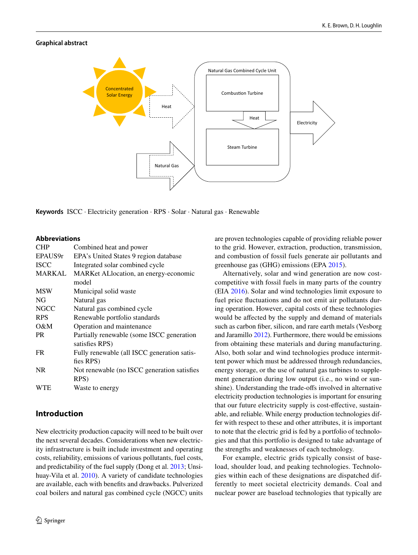#### **Graphical abstract**



**Keywords** ISCC · Electricity generation · RPS · Solar · Natural gas · Renewable

#### **Abbreviations**

| Combined heat and power                     |
|---------------------------------------------|
| EPA's United States 9 region database       |
| Integrated solar combined cycle             |
| MARKet ALlocation, an energy-economic       |
| model                                       |
| Municipal solid waste                       |
| Natural gas                                 |
| Natural gas combined cycle                  |
| Renewable portfolio standards               |
| Operation and maintenance                   |
| Partially renewable (some ISCC generation   |
| satisfies RPS)                              |
| Fully renewable (all ISCC generation satis- |
| fies RPS)                                   |
| Not renewable (no ISCC generation satisfies |
| RPS)                                        |
| Waste to energy                             |
|                                             |

## **Introduction**

New electricity production capacity will need to be built over the next several decades. Considerations when new electricity infrastructure is built include investment and operating costs, reliability, emissions of various pollutants, fuel costs, and predictability of the fuel supply (Dong et al. [2013](#page-12-0); Unsihuay-Vila et al. [2010\)](#page-12-1). A variety of candidate technologies are available, each with benefts and drawbacks. Pulverized coal boilers and natural gas combined cycle (NGCC) units are proven technologies capable of providing reliable power to the grid. However, extraction, production, transmission, and combustion of fossil fuels generate air pollutants and greenhouse gas (GHG) emissions (EPA [2015](#page-12-2)).

Alternatively, solar and wind generation are now costcompetitive with fossil fuels in many parts of the country (EIA [2016](#page-12-3)). Solar and wind technologies limit exposure to fuel price fuctuations and do not emit air pollutants during operation. However, capital costs of these technologies would be afected by the supply and demand of materials such as carbon fber, silicon, and rare earth metals (Vesborg and Jaramillo [2012\)](#page-12-4). Furthermore, there would be emissions from obtaining these materials and during manufacturing. Also, both solar and wind technologies produce intermittent power which must be addressed through redundancies, energy storage, or the use of natural gas turbines to supplement generation during low output (i.e., no wind or sunshine). Understanding the trade-ofs involved in alternative electricity production technologies is important for ensuring that our future electricity supply is cost-efective, sustainable, and reliable. While energy production technologies differ with respect to these and other attributes, it is important to note that the electric grid is fed by a portfolio of technologies and that this portfolio is designed to take advantage of the strengths and weaknesses of each technology.

For example, electric grids typically consist of baseload, shoulder load, and peaking technologies. Technologies within each of these designations are dispatched differently to meet societal electricity demands. Coal and nuclear power are baseload technologies that typically are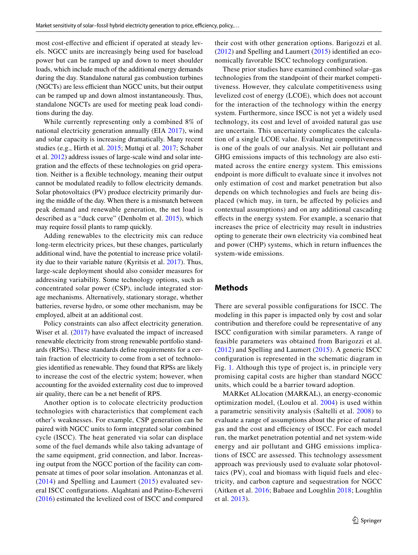most cost-effective and efficient if operated at steady levels. NGCC units are increasingly being used for baseload power but can be ramped up and down to meet shoulder loads, which include much of the additional energy demands during the day. Standalone natural gas combustion turbines (NGCTs) are less efficient than NGCC units, but their output can be ramped up and down almost instantaneously. Thus, standalone NGCTs are used for meeting peak load conditions during the day.

While currently representing only a combined 8% of national electricity generation annually (EIA [2017\)](#page-12-5), wind and solar capacity is increasing dramatically. Many recent studies (e.g., Hirth et al. [2015](#page-12-6); Muttqi et al. [2017](#page-12-7); Schaber et al. [2012](#page-12-8)) address issues of large-scale wind and solar integration and the efects of these technologies on grid operation. Neither is a fexible technology, meaning their output cannot be modulated readily to follow electricity demands. Solar photovoltaics (PV) produce electricity primarily during the middle of the day. When there is a mismatch between peak demand and renewable generation, the net load is described as a "duck curve" (Denholm et al. [2015\)](#page-12-9), which may require fossil plants to ramp quickly.

Adding renewables to the electricity mix can reduce long-term electricity prices, but these changes, particularly additional wind, have the potential to increase price volatility due to their variable nature (Kyritsis et al. [2017\)](#page-12-10). Thus, large-scale deployment should also consider measures for addressing variability. Some technology options, such as concentrated solar power (CSP), include integrated storage mechanisms. Alternatively, stationary storage, whether batteries, reverse hydro, or some other mechanism, may be employed, albeit at an additional cost.

Policy constraints can also affect electricity generation. Wiser et al. [\(2017\)](#page-12-11) have evaluated the impact of increased renewable electricity from strong renewable portfolio standards (RPSs). These standards defne requirements for a certain fraction of electricity to come from a set of technologies identifed as renewable. They found that RPSs are likely to increase the cost of the electric system; however, when accounting for the avoided externality cost due to improved air quality, there can be a net beneft of RPS.

Another option is to colocate electricity production technologies with characteristics that complement each other's weaknesses. For example, CSP generation can be paired with NGCC units to form integrated solar combined cycle (ISCC). The heat generated via solar can displace some of the fuel demands while also taking advantage of the same equipment, grid connection, and labor. Increasing output from the NGCC portion of the facility can compensate at times of poor solar insolation. Antonanzas et al. ([2014\)](#page-12-12) and Spelling and Laumert ([2015\)](#page-12-13) evaluated several ISCC confgurations. Alqahtani and Patino-Echeverri [\(2016\)](#page-12-14) estimated the levelized cost of ISCC and compared their cost with other generation options. Barigozzi et al.  $(2012)$  $(2012)$  $(2012)$  and Spelling and Laumert  $(2015)$  identified an economically favorable ISCC technology confguration.

These prior studies have examined combined solar–gas technologies from the standpoint of their market competitiveness. However, they calculate competitiveness using levelized cost of energy (LCOE), which does not account for the interaction of the technology within the energy system. Furthermore, since ISCC is not yet a widely used technology, its cost and level of avoided natural gas use are uncertain. This uncertainty complicates the calculation of a single LCOE value. Evaluating competitiveness is one of the goals of our analysis. Net air pollutant and GHG emissions impacts of this technology are also estimated across the entire energy system. This emissions endpoint is more difficult to evaluate since it involves not only estimation of cost and market penetration but also depends on which technologies and fuels are being displaced (which may, in turn, be afected by policies and contextual assumptions) and on any additional cascading efects in the energy system. For example, a scenario that increases the price of electricity may result in industries opting to generate their own electricity via combined heat and power (CHP) systems, which in return infuences the system-wide emissions.

#### **Methods**

There are several possible confgurations for ISCC. The modeling in this paper is impacted only by cost and solar contribution and therefore could be representative of any ISCC confguration with similar parameters. A range of feasible parameters was obtained from Barigozzi et al. ([2012](#page-12-15)) and Spelling and Laumert [\(2015](#page-12-13)). A generic ISCC confguration is represented in the schematic diagram in Fig. [1.](#page-3-0) Although this type of project is, in principle very promising capital costs are higher than standard NGCC units, which could be a barrier toward adoption.

MARKet ALlocation (MARKAL), an energy-economic optimization model, (Loulou et al. [2004\)](#page-12-16) is used within a parametric sensitivity analysis (Saltelli et al. [2008\)](#page-12-17) to evaluate a range of assumptions about the price of natural gas and the cost and efficiency of ISCC. For each model run, the market penetration potential and net system-wide energy and air pollutant and GHG emissions implications of ISCC are assessed. This technology assessment approach was previously used to evaluate solar photovoltaics (PV), coal and biomass with liquid fuels and electricity, and carbon capture and sequestration for NGCC (Aitken et al. [2016;](#page-12-18) Babaee and Loughlin [2018](#page-12-19); Loughlin et al. [2013\)](#page-12-20).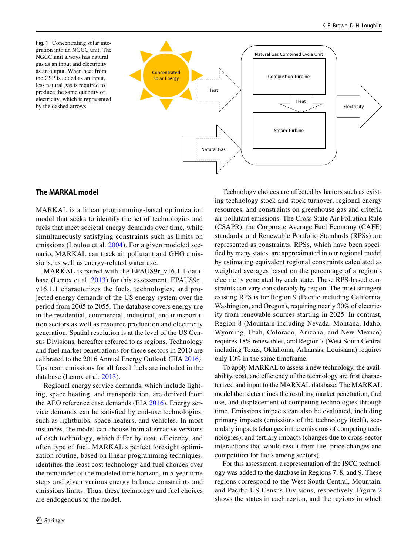<span id="page-3-0"></span>

#### **The MARKAL model**

MARKAL is a linear programming-based optimization model that seeks to identify the set of technologies and fuels that meet societal energy demands over time, while simultaneously satisfying constraints such as limits on emissions (Loulou et al. [2004](#page-12-16)). For a given modeled scenario, MARKAL can track air pollutant and GHG emissions, as well as energy-related water use.

MARKAL is paired with the EPAUS9r\_v16.1.1 database (Lenox et al. [2013\)](#page-12-21) for this assessment. EPAUS9r\_ v16.1.1 characterizes the fuels, technologies, and projected energy demands of the US energy system over the period from 2005 to 2055. The database covers energy use in the residential, commercial, industrial, and transportation sectors as well as resource production and electricity generation. Spatial resolution is at the level of the US Census Divisions, hereafter referred to as regions. Technology and fuel market penetrations for these sectors in 2010 are calibrated to the 2016 Annual Energy Outlook (EIA [2016](#page-12-3)). Upstream emissions for all fossil fuels are included in the database (Lenox et al. [2013\)](#page-12-21).

Regional energy service demands, which include lighting, space heating, and transportation, are derived from the AEO reference case demands (EIA [2016](#page-12-3)). Energy service demands can be satisfed by end-use technologies, such as lightbulbs, space heaters, and vehicles. In most instances, the model can choose from alternative versions of each technology, which differ by cost, efficiency, and often type of fuel. MARKAL's perfect foresight optimization routine, based on linear programming techniques, identifes the least cost technology and fuel choices over the remainder of the modeled time horizon, in 5-year time steps and given various energy balance constraints and emissions limits. Thus, these technology and fuel choices are endogenous to the model.

Technology choices are afected by factors such as existing technology stock and stock turnover, regional energy resources, and constraints on greenhouse gas and criteria air pollutant emissions. The Cross State Air Pollution Rule (CSAPR), the Corporate Average Fuel Economy (CAFE) standards, and Renewable Portfolio Standards (RPSs) are represented as constraints. RPSs, which have been specifed by many states, are approximated in our regional model by estimating equivalent regional constraints calculated as weighted averages based on the percentage of a region's electricity generated by each state. These RPS-based constraints can vary considerably by region. The most stringent existing RPS is for Region 9 (Pacifc including California, Washington, and Oregon), requiring nearly 30% of electricity from renewable sources starting in 2025. In contrast, Region 8 (Mountain including Nevada, Montana, Idaho, Wyoming, Utah, Colorado, Arizona, and New Mexico) requires 18% renewables, and Region 7 (West South Central including Texas, Oklahoma, Arkansas, Louisiana) requires only 10% in the same timeframe.

To apply MARKAL to assess a new technology, the availability, cost, and efficiency of the technology are first characterized and input to the MARKAL database. The MARKAL model then determines the resulting market penetration, fuel use, and displacement of competing technologies through time. Emissions impacts can also be evaluated, including primary impacts (emissions of the technology itself), secondary impacts (changes in the emissions of competing technologies), and tertiary impacts (changes due to cross-sector interactions that would result from fuel price changes and competition for fuels among sectors).

For this assessment, a representation of the ISCC technology was added to the database in Regions 7, 8, and 9. These regions correspond to the West South Central, Mountain, and Pacifc US Census Divisions, respectively. Figure [2](#page-4-0) shows the states in each region, and the regions in which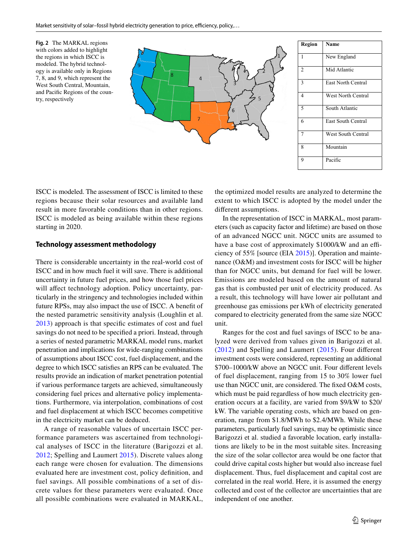<span id="page-4-0"></span>**Fig. 2** The MARKAL regions with colors added to highlight the regions in which ISCC is modeled. The hybrid technology is available only in Regions 7, 8, and 9, which represent the West South Central, Mountain, and Pacifc Regions of the country, respectively



| Region                   | Name                      |
|--------------------------|---------------------------|
| 1                        | New England               |
| $\overline{2}$           | Mid Atlantic              |
| 3                        | <b>East North Central</b> |
| 4                        | <b>West North Central</b> |
| $\overline{\phantom{0}}$ | South Atlantic            |
| 6                        | <b>East South Central</b> |
| 7                        | West South Central        |
| 8                        | Mountain                  |
| 9                        | Pacific                   |

ISCC is modeled. The assessment of ISCC is limited to these regions because their solar resources and available land result in more favorable conditions than in other regions. ISCC is modeled as being available within these regions starting in 2020.

#### **Technology assessment methodology**

There is considerable uncertainty in the real-world cost of ISCC and in how much fuel it will save. There is additional uncertainty in future fuel prices, and how those fuel prices will affect technology adoption. Policy uncertainty, particularly in the stringency and technologies included within future RPSs, may also impact the use of ISCC. A beneft of the nested parametric sensitivity analysis (Loughlin et al. [2013\)](#page-12-20) approach is that specifc estimates of cost and fuel savings do not need to be specifed a priori. Instead, through a series of nested parametric MARKAL model runs, market penetration and implications for wide-ranging combinations of assumptions about ISCC cost, fuel displacement, and the degree to which ISCC satisfes an RPS can be evaluated. The results provide an indication of market penetration potential if various performance targets are achieved, simultaneously considering fuel prices and alternative policy implementations. Furthermore, via interpolation, combinations of cost and fuel displacement at which ISCC becomes competitive in the electricity market can be deduced.

A range of reasonable values of uncertain ISCC performance parameters was ascertained from technological analyses of ISCC in the literature (Barigozzi et al. [2012;](#page-12-15) Spelling and Laumert [2015](#page-12-13)). Discrete values along each range were chosen for evaluation. The dimensions evaluated here are investment cost, policy defnition, and fuel savings. All possible combinations of a set of discrete values for these parameters were evaluated. Once all possible combinations were evaluated in MARKAL, the optimized model results are analyzed to determine the extent to which ISCC is adopted by the model under the diferent assumptions.

In the representation of ISCC in MARKAL, most parameters (such as capacity factor and lifetime) are based on those of an advanced NGCC unit. NGCC units are assumed to have a base cost of approximately \$1000/kW and an efficiency of 55% [source (EIA [2015](#page-12-22))]. Operation and maintenance (O&M) and investment costs for ISCC will be higher than for NGCC units, but demand for fuel will be lower. Emissions are modeled based on the amount of natural gas that is combusted per unit of electricity produced. As a result, this technology will have lower air pollutant and greenhouse gas emissions per kWh of electricity generated compared to electricity generated from the same size NGCC unit.

Ranges for the cost and fuel savings of ISCC to be analyzed were derived from values given in Barigozzi et al. ([2012\)](#page-12-15) and Spelling and Laumert [\(2015](#page-12-13)). Four diferent investment costs were considered, representing an additional \$700–1000/kW above an NGCC unit. Four diferent levels of fuel displacement, ranging from 15 to 30% lower fuel use than NGCC unit, are considered. The fxed O&M costs, which must be paid regardless of how much electricity generation occurs at a facility, are varied from \$9/kW to \$20/ kW. The variable operating costs, which are based on generation, range from \$1.8/MWh to \$2.4/MWh. While these parameters, particularly fuel savings, may be optimistic since Barigozzi et al. studied a favorable location, early installations are likely to be in the most suitable sites. Increasing the size of the solar collector area would be one factor that could drive capital costs higher but would also increase fuel displacement. Thus, fuel displacement and capital cost are correlated in the real world. Here, it is assumed the energy collected and cost of the collector are uncertainties that are independent of one another.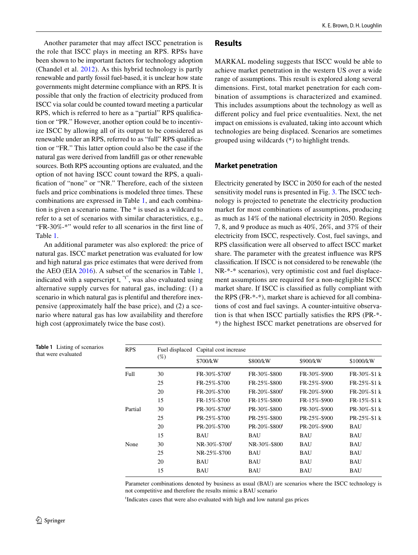Another parameter that may afect ISCC penetration is the role that ISCC plays in meeting an RPS. RPSs have been shown to be important factors for technology adoption (Chandel et al. [2012\)](#page-12-23). As this hybrid technology is partly renewable and partly fossil fuel-based, it is unclear how state governments might determine compliance with an RPS. It is possible that only the fraction of electricity produced from ISCC via solar could be counted toward meeting a particular RPS, which is referred to here as a "partial" RPS qualifcation or "PR." However, another option could be to incentivize ISCC by allowing all of its output to be considered as renewable under an RPS, referred to as "full" RPS qualifcation or "FR." This latter option could also be the case if the natural gas were derived from landfll gas or other renewable sources. Both RPS accounting options are evaluated, and the option of not having ISCC count toward the RPS, a qualifcation of "none" or "NR." Therefore, each of the sixteen fuels and price combinations is modeled three times. These combinations are expressed in Table [1](#page-5-0), and each combination is given a scenario name. The \* is used as a wildcard to refer to a set of scenarios with similar characteristics, e.g., "FR-30%-\*" would refer to all scenarios in the frst line of Table [1](#page-5-0).

An additional parameter was also explored: the price of natural gas. ISCC market penetration was evaluated for low and high natural gas price estimates that were derived from the AEO (EIA [2016\)](#page-12-3). A subset of the scenarios in Table [1,](#page-5-0) indicated with a superscript t,  $\mathbf{r}$ , was also evaluated using alternative supply curves for natural gas, including: (1) a scenario in which natural gas is plentiful and therefore inexpensive (approximately half the base price), and (2) a scenario where natural gas has low availability and therefore high cost (approximately twice the base cost).

#### **Results**

MARKAL modeling suggests that ISCC would be able to achieve market penetration in the western US over a wide range of assumptions. This result is explored along several dimensions. First, total market penetration for each combination of assumptions is characterized and examined. This includes assumptions about the technology as well as diferent policy and fuel price eventualities. Next, the net impact on emissions is evaluated, taking into account which technologies are being displaced. Scenarios are sometimes grouped using wildcards (\*) to highlight trends.

#### **Market penetration**

Electricity generated by ISCC in 2050 for each of the nested sensitivity model runs is presented in Fig. [3.](#page-6-0) The ISCC technology is projected to penetrate the electricity production market for most combinations of assumptions, producing as much as 14% of the national electricity in 2050. Regions 7, 8, and 9 produce as much as 40%, 26%, and 37% of their electricity from ISCC, respectively. Cost, fuel savings, and RPS classifcation were all observed to afect ISCC market share. The parameter with the greatest infuence was RPS classifcation. If ISCC is not considered to be renewable (the NR-\*-\* scenarios), very optimistic cost and fuel displacement assumptions are required for a non-negligible ISCC market share. If ISCC is classifed as fully compliant with the RPS (FR-\*-\*), market share is achieved for all combinations of cost and fuel savings. A counter-intuitive observation is that when ISCC partially satisfes the RPS (PR-\*- \*) the highest ISCC market penetrations are observed for

<span id="page-5-0"></span>

| <b>Table 1</b> Listing of scenarios<br>that were evaluated | <b>RPS</b> |        | Fuel displaced Capital cost increase |                           |              |                 |  |  |  |  |  |  |  |  |
|------------------------------------------------------------|------------|--------|--------------------------------------|---------------------------|--------------|-----------------|--|--|--|--|--|--|--|--|
|                                                            |            | $(\%)$ | \$700/kW                             | \$800/kW                  | \$900/kW     | \$1000/kW       |  |  |  |  |  |  |  |  |
|                                                            | Full       | 30     | $FR-30\% - $700^t$                   | FR-30%-\$800              | FR-30%-\$900 | FR-30%-\$1 k    |  |  |  |  |  |  |  |  |
|                                                            |            | 25     | FR-25%-\$700                         | FR-25%-\$800              | FR-25%-\$900 | FR-25%-\$1 k    |  |  |  |  |  |  |  |  |
|                                                            |            | 20     | FR-20%-\$700                         | $FR-20\% - $800t$         | FR-20%-\$900 | FR-20%-\$1 k    |  |  |  |  |  |  |  |  |
|                                                            |            | 15     | FR-15%-\$700                         | FR-15%-\$800              | FR-15%-\$900 | FR-15%-\$1 k    |  |  |  |  |  |  |  |  |
|                                                            | Partial    | 30     | $PR-30\% - $700^t$                   | PR-30%-\$800              | PR-30%-\$900 | PR-30%-\$1 k    |  |  |  |  |  |  |  |  |
|                                                            |            | 25     | PR-25%-\$700                         | PR-25%-\$800              | PR-25%-\$900 | $PR-25\% - S1k$ |  |  |  |  |  |  |  |  |
|                                                            |            | 20     | PR-20%-\$700                         | PR-20%-\$800 <sup>t</sup> | PR-20%-\$900 | <b>BAU</b>      |  |  |  |  |  |  |  |  |
|                                                            |            | 15     | <b>BAU</b>                           | <b>BAU</b>                | <b>BAU</b>   | <b>BAU</b>      |  |  |  |  |  |  |  |  |
|                                                            | None       | 30     | $NR-30\% - $700^t$                   | NR-30%-\$800              | <b>BAU</b>   | <b>BAU</b>      |  |  |  |  |  |  |  |  |
|                                                            |            | 25     | NR-25%-\$700                         | <b>BAU</b>                | <b>BAU</b>   | <b>BAU</b>      |  |  |  |  |  |  |  |  |
|                                                            |            | 20     | <b>BAU</b>                           | <b>BAU</b>                | BAU          | <b>BAU</b>      |  |  |  |  |  |  |  |  |
|                                                            |            | 15     | <b>BAU</b>                           | <b>BAU</b>                | <b>BAU</b>   | <b>BAU</b>      |  |  |  |  |  |  |  |  |

Parameter combinations denoted by business as usual (BAU) are scenarios where the ISCC technology is not competitive and therefore the results mimic a BAU scenario

t Indicates cases that were also evaluated with high and low natural gas prices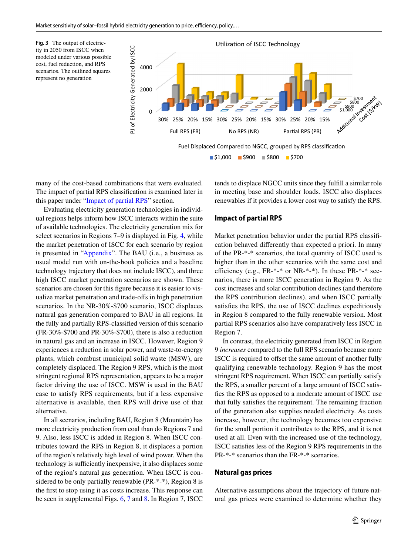<span id="page-6-0"></span>**Fig. 3** The output of electricity in 2050 from ISCC when modeled under various possible cost, fuel reduction, and RPS scenarios. The outlined squares represent no generation



many of the cost-based combinations that were evaluated. The impact of partial RPS classifcation is examined later in this paper under "[Impact of partial RPS"](#page-6-1) section.

Evaluating electricity generation technologies in individual regions helps inform how ISCC interacts within the suite of available technologies. The electricity generation mix for select scenarios in Regions 7–9 is displayed in Fig. [4,](#page-7-0) while the market penetration of ISCC for each scenario by region is presented in ["Appendix](#page-11-0)". The BAU (i.e., a business as usual model run with on-the-book policies and a baseline technology trajectory that does not include ISCC), and three high ISCC market penetration scenarios are shown. These scenarios are chosen for this fgure because it is easier to visualize market penetration and trade-ofs in high penetration scenarios. In the NR-30%-\$700 scenario, ISCC displaces natural gas generation compared to BAU in all regions. In the fully and partially RPS-classifed version of this scenario (FR-30%-\$700 and PR-30%-\$700), there is also a reduction in natural gas and an increase in ISCC. However, Region 9 experiences a reduction in solar power, and waste-to-energy plants, which combust municipal solid waste (MSW), are completely displaced. The Region 9 RPS, which is the most stringent regional RPS representation, appears to be a major factor driving the use of ISCC. MSW is used in the BAU case to satisfy RPS requirements, but if a less expensive alternative is available, then RPS will drive use of that alternative.

In all scenarios, including BAU, Region 8 (Mountain) has more electricity production from coal than do Regions 7 and 9. Also, less ISCC is added in Region 8. When ISCC contributes toward the RPS in Region 8, it displaces a portion of the region's relatively high level of wind power. When the technology is sufficiently inexpensive, it also displaces some of the region's natural gas generation. When ISCC is considered to be only partially renewable (PR-\*-\*), Region 8 is the frst to stop using it as costs increase. This response can be seen in supplemental Figs. [6](#page-11-1), [7](#page-11-2) and [8](#page-12-24). In Region 7, ISCC tends to displace NGCC units since they fulfll a similar role in meeting base and shoulder loads. ISCC also displaces renewables if it provides a lower cost way to satisfy the RPS.

#### <span id="page-6-1"></span>**Impact of partial RPS**

Market penetration behavior under the partial RPS classifcation behaved diferently than expected a priori. In many of the PR-\*-\* scenarios, the total quantity of ISCC used is higher than in the other scenarios with the same cost and efficiency (e.g.,  $FR-*-*$  or  $NR-*-*$ ). In these  $PR-*-*$  scenarios, there is more ISCC generation in Region 9. As the cost increases and solar contribution declines (and therefore the RPS contribution declines), and when ISCC partially satisfes the RPS, the use of ISCC declines expeditiously in Region 8 compared to the fully renewable version. Most partial RPS scenarios also have comparatively less ISCC in Region 7.

In contrast, the electricity generated from ISCC in Region 9 *increases* compared to the full RPS scenario because more ISCC is required to offset the same amount of another fully qualifying renewable technology. Region 9 has the most stringent RPS requirement. When ISCC can partially satisfy the RPS, a smaller percent of a large amount of ISCC satisfes the RPS as opposed to a moderate amount of ISCC use that fully satisfes the requirement. The remaining fraction of the generation also supplies needed electricity. As costs increase, however, the technology becomes too expensive for the small portion it contributes to the RPS, and it is not used at all. Even with the increased use of the technology, ISCC satisfes less of the Region 9 RPS requirements in the PR-\*-\* scenarios than the FR-\*-\* scenarios.

#### **Natural gas prices**

Alternative assumptions about the trajectory of future natural gas prices were examined to determine whether they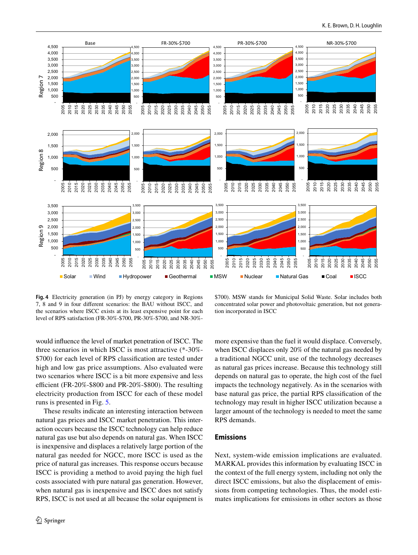

<span id="page-7-0"></span>**Fig. 4** Electricity generation (in PJ) by energy category in Regions 7, 8 and 9 in four diferent scenarios: the BAU without ISCC, and the scenarios where ISCC exists at its least expensive point for each level of RPS satisfaction (FR-30%-\$700, PR-30%-\$700, and NR-30%-

\$700). MSW stands for Municipal Solid Waste. Solar includes both concentrated solar power and photovoltaic generation, but not generation incorporated in ISCC

would infuence the level of market penetration of ISCC. The three scenarios in which ISCC is most attractive (\*-30%- \$700) for each level of RPS classifcation are tested under high and low gas price assumptions. Also evaluated were two scenarios where ISCC is a bit more expensive and less efficient (FR-20%-\$800 and PR-20%-\$800). The resulting electricity production from ISCC for each of these model runs is presented in Fig. [5](#page-8-0).

These results indicate an interesting interaction between natural gas prices and ISCC market penetration. This interaction occurs because the ISCC technology can help reduce natural gas use but also depends on natural gas. When ISCC is inexpensive and displaces a relatively large portion of the natural gas needed for NGCC, more ISCC is used as the price of natural gas increases. This response occurs because ISCC is providing a method to avoid paying the high fuel costs associated with pure natural gas generation. However, when natural gas is inexpensive and ISCC does not satisfy RPS, ISCC is not used at all because the solar equipment is more expensive than the fuel it would displace. Conversely, when ISCC displaces only 20% of the natural gas needed by a traditional NGCC unit, use of the technology decreases as natural gas prices increase. Because this technology still depends on natural gas to operate, the high cost of the fuel impacts the technology negatively. As in the scenarios with base natural gas price, the partial RPS classifcation of the technology may result in higher ISCC utilization because a larger amount of the technology is needed to meet the same RPS demands.

# **Emissions**

Next, system-wide emission implications are evaluated. MARKAL provides this information by evaluating ISCC in the context of the full energy system, including not only the direct ISCC emissions, but also the displacement of emissions from competing technologies. Thus, the model estimates implications for emissions in other sectors as those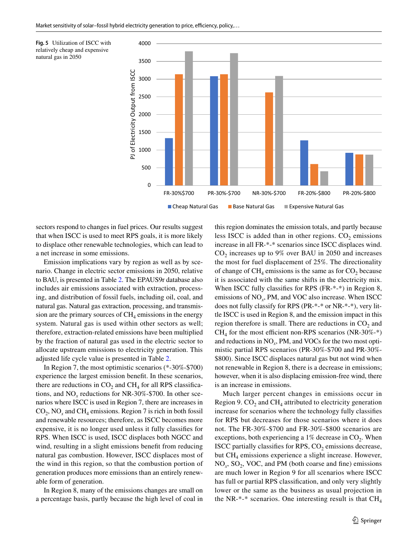<span id="page-8-0"></span>



sectors respond to changes in fuel prices. Our results suggest that when ISCC is used to meet RPS goals, it is more likely to displace other renewable technologies, which can lead to a net increase in some emissions.

Emission implications vary by region as well as by scenario. Change in electric sector emissions in 2050, relative to BAU, is presented in Table [2.](#page-9-0) The EPAUS9r database also includes air emissions associated with extraction, processing, and distribution of fossil fuels, including oil, coal, and natural gas. Natural gas extraction, processing, and transmission are the primary sources of  $CH<sub>4</sub>$  emissions in the energy system. Natural gas is used within other sectors as well; therefore, extraction-related emissions have been multiplied by the fraction of natural gas used in the electric sector to allocate upstream emissions to electricity generation. This adjusted life cycle value is presented in Table [2](#page-9-0).

In Region 7, the most optimistic scenarios (\*-30%-\$700) experience the largest emission beneft. In these scenarios, there are reductions in  $CO_2$  and  $CH_4$  for all RPS classifications, and NO*x* reductions for NR-30%-\$700. In other scenarios where ISCC is used in Region 7, there are increases in  $CO<sub>2</sub>$ , NO<sub>x</sub> and CH<sub>4</sub> emissions. Region 7 is rich in both fossil and renewable resources; therefore, as ISCC becomes more expensive, it is no longer used unless it fully classifes for RPS. When ISCC is used, ISCC displaces both NGCC and wind, resulting in a slight emissions beneft from reducing natural gas combustion. However, ISCC displaces most of the wind in this region, so that the combustion portion of generation produces more emissions than an entirely renewable form of generation.

In Region 8, many of the emissions changes are small on a percentage basis, partly because the high level of coal in this region dominates the emission totals, and partly because less ISCC is added than in other regions.  $CO<sub>2</sub>$  emissions increase in all FR-\*-\* scenarios since ISCC displaces wind.  $CO<sub>2</sub>$  increases up to 9% over BAU in 2050 and increases the most for fuel displacement of 25%. The directionality of change of  $CH_4$  emissions is the same as for  $CO_2$  because it is associated with the same shifts in the electricity mix. When ISCC fully classifes for RPS (FR-\*-\*) in Region 8, emissions of NO*x*, PM, and VOC also increase. When ISCC does not fully classify for RPS (PR-\*-\* or NR-\*-\*), very little ISCC is used in Region 8, and the emission impact in this region therefore is small. There are reductions in  $CO<sub>2</sub>$  and  $CH<sub>4</sub>$  for the most efficient non-RPS scenarios (NR-30%-\*) and reductions in NO*x*, PM, and VOCs for the two most optimistic partial RPS scenarios (PR-30%-\$700 and PR-30%- \$800). Since ISCC displaces natural gas but not wind when not renewable in Region 8, there is a decrease in emissions; however, when it is also displacing emission-free wind, there is an increase in emissions.

Much larger percent changes in emissions occur in Region 9.  $CO<sub>2</sub>$  and  $CH<sub>4</sub>$  attributed to electricity generation increase for scenarios where the technology fully classifes for RPS but decreases for those scenarios where it does not. The FR-30%-\$700 and FR-30%-\$800 scenarios are exceptions, both experiencing a  $1\%$  decrease in CO<sub>2</sub>. When ISCC partially classifies for RPS,  $CO<sub>2</sub>$  emissions decrease, but  $CH<sub>4</sub>$  emissions experience a slight increase. However, NO<sub>x</sub>, SO<sub>2</sub>, VOC, and PM (both coarse and fine) emissions are much lower in Region 9 for all scenarios where ISCC has full or partial RPS classifcation, and only very slightly lower or the same as the business as usual projection in the NR- $*$ - $*$  scenarios. One interesting result is that CH<sub>4</sub>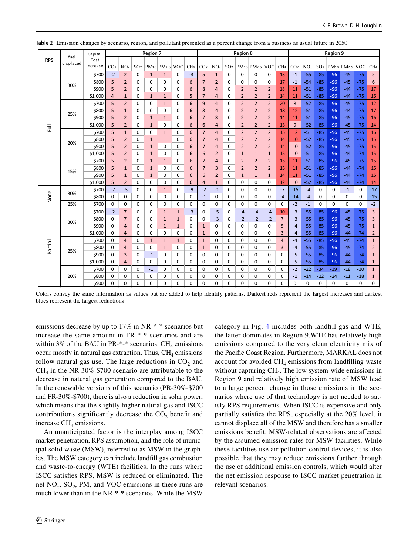| <b>RPS</b> |                   | Capital  | Region 7        |                 |                 |              |                         |              | Region 8        |                 |                 |                 |                |                         |                | Region 9        |                 |                  |                 |       |                      |       |                 |
|------------|-------------------|----------|-----------------|-----------------|-----------------|--------------|-------------------------|--------------|-----------------|-----------------|-----------------|-----------------|----------------|-------------------------|----------------|-----------------|-----------------|------------------|-----------------|-------|----------------------|-------|-----------------|
|            | fuel<br>displaced | Cost     |                 |                 |                 |              |                         |              |                 |                 |                 |                 |                |                         |                |                 |                 |                  |                 |       |                      |       |                 |
|            |                   | Increase | CO <sub>2</sub> | NO <sub>x</sub> | SO <sub>2</sub> |              | $ PM_{10} PM_{2.5} VOC$ |              | CH <sub>4</sub> | CO <sub>2</sub> | NO <sub>x</sub> | SO <sub>2</sub> |                | $ PM_{10} PM_{2.5} VOC$ |                | CH <sub>4</sub> | CO <sub>2</sub> | N <sub>O</sub> x | SO <sub>2</sub> |       | $ PM_{10} PM_{2.5} $ | VOC   | CH <sub>4</sub> |
|            |                   | \$700    | $-2$            | $\overline{2}$  | 0               | $\mathbf{1}$ | $\mathbf{1}$            | 0            | -3              | 5               | $\mathbf{1}$    | 0               | 0              | 0                       | 0              | 13              | $-1$            | $-55$            | $-85$           | $-96$ | $-45$                | $-75$ | 5               |
|            | 30%               | \$800    | 5               | $\overline{2}$  | 0               | 0            | 0                       | 0            | 6               | $\overline{7}$  | $\overline{2}$  | 0               | 0              | 0                       | 0              | 17              | $-1$            | $-54$            | $-85$           | $-96$ | $-45$                | $-75$ | 6               |
|            |                   | \$900    | 5               | $\overline{2}$  | 0               | 0            | 0                       | 0            | 6               | 8               | $\overline{4}$  | 0               | $\overline{2}$ | $\overline{2}$          | $\overline{2}$ | 18              | 11              | $-51$            | $-85$           | $-96$ | -44                  | $-75$ | 17              |
|            |                   | \$1,000  | $\overline{4}$  | $\mathbf{1}$    | 0               | $\mathbf{1}$ | $\mathbf{1}$            | 0            | 5               | 7               | $\overline{4}$  | 0               | $\overline{2}$ | $\overline{2}$          | $\overline{2}$ | 14              | 11              | $-51$            | $-85$           | $-96$ | $-44$                | $-75$ | 16              |
|            |                   | \$700    | 5               | $\overline{2}$  | 0               | 0            | $\mathbf{1}$            | 0            | 6               | 9               | 4               | 0               | $\overline{2}$ | $\overline{2}$          | $\overline{2}$ | 20              | 8               | $-52$            | $-85$           | $-96$ | $-45$                | $-75$ | 12              |
|            | 25%               | \$800    | 5               | $\mathbf{1}$    | 0               | 0            | 0                       | 0            | 6               | 8               | $\overline{4}$  | 0               | 2              | 2                       | $\overline{2}$ | 18              | 12              | $-51$            | $-85$           | $-96$ | $-44$                | $-75$ | 17              |
|            |                   | \$900    | 5               | $\overline{2}$  | 0               | $\mathbf{1}$ | $\mathbf{1}$            | 0            | 6               | 7               | 3               | 0               | 2              | $\overline{2}$          | $\overline{2}$ | 14              | 11              | $-51$            | $-85$           | $-96$ | $-45$                | $-75$ | 16              |
| 司<br>Eul   |                   | \$1,000  | 5               | $\overline{2}$  | 0               | $\mathbf{1}$ | 0                       | 0            | 6               | 6               | $\overline{a}$  | 0               | $\overline{2}$ | $\overline{2}$          | $\overline{2}$ | 13              | 9               | $-52$            | $-85$           | $-96$ | $-45$                | $-75$ | 14              |
|            |                   | \$700    | 5               | $\mathbf{1}$    | 0               | 0            | $\mathbf{1}$            | 0            | 6               | $\overline{7}$  | $\overline{4}$  | 0               | $\overline{2}$ | $\overline{2}$          | $\overline{2}$ | 15              | 12              | $-51$            | $-85$           | $-96$ | $-45$                | $-75$ | 16              |
|            | 20%               | \$800    | 5               | $\overline{2}$  | 0               | $\mathbf{1}$ | $\mathbf{1}$            | 0            | 6               | $\overline{7}$  | $\overline{4}$  | 0               | $\overline{2}$ | 2                       | $\overline{2}$ | 14              | 10              | $-52$            | $-85$           | $-96$ | $-45$                | $-75$ | 15              |
|            |                   | \$900    | 5               | $\overline{2}$  | 0               | $\mathbf{1}$ | 0                       | 0            | 6               | $\overline{7}$  | $\overline{4}$  | 0               | $\overline{2}$ | $\overline{2}$          | $\overline{2}$ | 14              | 10              | $-52$            | $-85$           | $-96$ | $-45$                | $-75$ | 15              |
|            |                   | \$1,000  | 5               | $\overline{2}$  | 0               | $\mathbf{1}$ | 0                       | 0            | 6               | 6               | $\overline{2}$  | 0               | $\mathbf{1}$   | $\mathbf{1}$            | $\mathbf{1}$   | 15              | 10              | $-51$            | $-85$           | $-96$ | $-44$                | $-74$ | 15              |
|            |                   | \$700    | 5               | $\overline{2}$  | 0               | $\mathbf{1}$ | $\mathbf{1}$            | 0            | 6               | $\overline{7}$  | 4               | 0               | $\overline{2}$ | $\overline{2}$          | $\overline{2}$ | 15              | 11              | $-51$            | $-85$           | $-96$ | $-45$                | $-75$ | 15              |
|            | 15%               | \$800    | 5               | $\mathbf{1}$    | 0               | $\mathbf{1}$ | 0                       | 0            | 6               | 7               | 3               | 0               | 2              | $\overline{2}$          | $\overline{2}$ | 15              | 11              | $-51$            | $-85$           | $-96$ | $-44$                | $-74$ | 15              |
|            |                   | \$900    | 5               | $\mathbf{1}$    | 0               | $\mathbf{1}$ | 0                       | 0            | 6               | 6               | $\overline{2}$  | 0               | $\mathbf{1}$   | $\mathbf{1}$            | $\mathbf{1}$   | 14              | 11              | $-51$            | $-85$           | $-96$ | $-44$                | $-74$ | 15              |
|            |                   | \$1.000  | 5               | $\overline{2}$  | 0               | 0            | 0                       | 0            | 6               | $\overline{4}$  | $\mathbf{1}$    | 0               | 0              | 0                       | 0              | 12              | 10              | $-52$            | $-85$           | $-96$ | $-44$                | $-74$ | 14              |
|            | 30%               | \$700    | $-7$            | $-3$            | 0               | 0            | $\mathbf{1}$            | 0            | -9              | $-2$            | $-1$            | 0               | 0              | 0                       | 0              | $-7$            | $-15$           | $-4$             | 0               | 0     | $-1$                 | 0     | $-17$           |
| None       |                   | \$800    | 0               | 0               | 0               | 0            | 0                       | 0            | 0               | $-1$            | 0               | 0               | 0              | 0                       | 0              | $-4$            | $-14$           | $-4$             | 0               | 0     | 0                    | 0     | $-15$           |
|            | 25%               | \$700    | 0               | 0               | 0               | 0            | 0                       | 0            | 0               | $\Omega$        | 0               | 0               | 0              | 0                       | 0              | 0               | $-2$            | $-1$             | 0               | 0     | 0                    | 0     | $-2$            |
|            |                   | \$700    | $-2$            | $\overline{7}$  | 0               | 0            | $\mathbf{1}$            | $\mathbf{1}$ | -3              | 0               | -5              | 0               | $-4$           | $-4$                    | $-4$           | 10              | $-3$            | $-55$            | $-85$           | $-96$ | $-45$                | $-75$ | 3               |
|            | 30%               | \$800    | $\Omega$        | 7               | 0               | 0            | $\mathbf{1}$            | $\mathbf{1}$ | 0               | 0               | $-3$            | 0               | $-2$           | $-2$                    | $-2$           | $\overline{7}$  | $-3$            | $-55$            | $-85$           | $-96$ | $-45$                | $-75$ | 3               |
|            |                   | \$900    | 0               | $\overline{4}$  | 0               | 0            | 1                       | $\mathbf{1}$ | 0               | $\mathbf{1}$    | $\Omega$        | 0               | 0              | 0                       | 0              | 5               | $-4$            | $-55$            | $-85$           | $-96$ | $-45$                | $-75$ | $\mathbf{1}$    |
|            |                   | \$1,000  | $\Omega$        | $\overline{4}$  | 0               | 0            | 0                       | 0            | 0               | $\mathbf{1}$    | $\mathbf 0$     | 0               | 0              | 0                       | 0              | 3               | $-4$            | $-55$            | $-85$           | $-96$ | $-44$                | $-74$ | $\overline{2}$  |
|            |                   | \$700    | 0               | 4               | 0               | 1            | 1                       | $\mathbf{1}$ | 0               | $\mathbf{1}$    | 0               | 0               | 0              | 0                       | 0              | 4               | $-4$            | $-55$            | $-85$           | $-96$ | $-45$                | $-74$ | $1\,$           |
| Partial    | 25%               | \$800    | $\Omega$        | $\overline{4}$  | 0               | 0            | $\mathbf{1}$            | 0            | $\Omega$        | $\mathbf{1}$    | $\Omega$        | 0               | 0              | 0                       | $\Omega$       | 3               | $-4$            | $-55$            | $-85$           | $-96$ | $-45$                | $-74$ | $\overline{2}$  |
|            |                   | \$900    | 0               | 3               | 0               | $-1$         | 0                       | 0            | 0               | 0               | 0               | 0               | 0              | 0                       | 0              | 0               | $-5$            | $-55$            | $-85$           | $-96$ | $-44$                | $-74$ | $\mathbf{1}$    |
|            |                   | \$1,000  | $\Omega$        | $\overline{4}$  | $\Omega$        | 0            | 0                       | 0            | 0               | $\Omega$        | $\Omega$        | 0               | 0              | 0                       | 0              | $\mathbf{0}$    | $-5$            | $-55$            | $-85$           | $-96$ | $-44$                | $-74$ | $\mathbf{1}$    |
|            |                   | \$700    | 0               | 0               | 0               | $-1$         | 0                       | 0            | 0               | 0               | 0               | 0               | 0              | 0                       | 0              | 0               | $-2$            | $-22$            | $-34$           | $-39$ | $-18$                | $-30$ | $\mathbf{1}$    |
|            | 20%               | \$800    | $\Omega$        | 0               | 0               | 0            | 0                       | 0            | 0               | 0               | $\Omega$        | 0               | 0              | 0                       | 0              | 0               | $-1$            | $-14$            | $-22$           | $-24$ | $-11$                | $-18$ | $\mathbf{1}$    |
|            |                   | \$900    | 0               | 0               | 0               | 0            | 0                       | 0            | 0               | 0               | 0               | 0               | 0              | 0                       | 0              | 0               | 0               | 0                | 0               | 0     | 0                    | 0     | 0               |

<span id="page-9-0"></span>**Table 2** Emission changes by scenario, region, and pollutant presented as a percent change from a business as usual future in 2050

Colors convey the same information as values but are added to help identify patterns. Darkest reds represent the largest increases and darkest blues represent the largest reductions

emissions decrease by up to 17% in NR-\*-\* scenarios but increase the same amount in FR-\*-\* scenarios and are within 3% of the BAU in PR- $*$ - $*$  scenarios. CH<sub>4</sub> emissions occur mostly in natural gas extraction. Thus,  $CH<sub>4</sub>$  emissions follow natural gas use. The large reductions in  $CO<sub>2</sub>$  and  $CH<sub>4</sub>$  in the NR-30%-\$700 scenario are attributable to the decrease in natural gas generation compared to the BAU. In the renewable versions of this scenario (PR-30%-\$700 and FR-30%-\$700), there is also a reduction in solar power, which means that the slightly higher natural gas and ISCC contributions significantly decrease the  $CO<sub>2</sub>$  benefit and increase  $CH<sub>4</sub>$  emissions.

An unanticipated factor is the interplay among ISCC market penetration, RPS assumption, and the role of municipal solid waste (MSW), referred to as MSW in the graphics. The MSW category can include landfll gas combustion and waste-to-energy (WTE) facilities. In the runs where ISCC satisfes RPS, MSW is reduced or eliminated. The net  $NO<sub>x</sub>$ ,  $SO<sub>2</sub>$ , PM, and VOC emissions in these runs are much lower than in the NR-\*-\* scenarios. While the MSW

the latter dominates in Region 9.WTE has relatively high emissions compared to the very clean electricity mix of the Pacifc Coast Region. Furthermore, MARKAL does not account for avoided  $CH<sub>4</sub>$  emissions from landfilling waste without capturing  $CH<sub>4</sub>$ . The low system-wide emissions in Region 9 and relatively high emission rate of MSW lead to a large percent change in those emissions in the scenarios where use of that technology is not needed to satisfy RPS requirements. When ISCC is expensive and only partially satisfes the RPS, especially at the 20% level, it cannot displace all of the MSW and therefore has a smaller emissions beneft. MSW-related observations are afected by the assumed emission rates for MSW facilities. While these facilities use air pollution control devices, it is also possible that they may reduce emissions further through the use of additional emission controls, which would alter the net emission response to ISCC market penetration in relevant scenarios.

category in Fig. [4](#page-7-0) includes both landfll gas and WTE,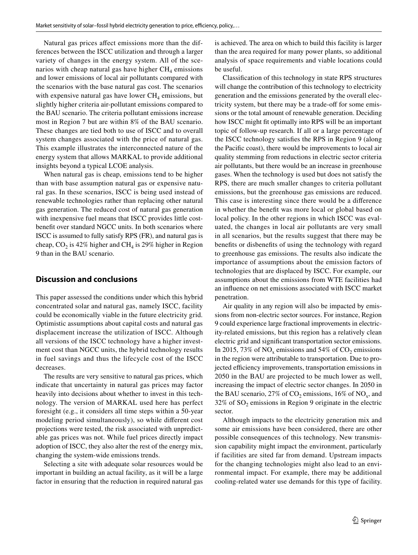Natural gas prices afect emissions more than the differences between the ISCC utilization and through a larger variety of changes in the energy system. All of the scenarios with cheap natural gas have higher  $CH<sub>4</sub>$  emissions and lower emissions of local air pollutants compared with the scenarios with the base natural gas cost. The scenarios with expensive natural gas have lower  $CH<sub>4</sub>$  emissions, but slightly higher criteria air-pollutant emissions compared to the BAU scenario. The criteria pollutant emissions increase most in Region 7 but are within 8% of the BAU scenario. These changes are tied both to use of ISCC and to overall system changes associated with the price of natural gas. This example illustrates the interconnected nature of the energy system that allows MARKAL to provide additional insights beyond a typical LCOE analysis.

When natural gas is cheap, emissions tend to be higher than with base assumption natural gas or expensive natural gas. In these scenarios, ISCC is being used instead of renewable technologies rather than replacing other natural gas generation. The reduced cost of natural gas generation with inexpensive fuel means that ISCC provides little costbeneft over standard NGCC units. In both scenarios where ISCC is assumed to fully satisfy RPS (FR), and natural gas is cheap,  $CO_2$  is 42% higher and  $CH_4$  is 29% higher in Region 9 than in the BAU scenario.

#### **Discussion and conclusions**

This paper assessed the conditions under which this hybrid concentrated solar and natural gas, namely ISCC, facility could be economically viable in the future electricity grid. Optimistic assumptions about capital costs and natural gas displacement increase the utilization of ISCC. Although all versions of the ISCC technology have a higher investment cost than NGCC units, the hybrid technology results in fuel savings and thus the lifecycle cost of the ISCC decreases.

The results are very sensitive to natural gas prices, which indicate that uncertainty in natural gas prices may factor heavily into decisions about whether to invest in this technology. The version of MARKAL used here has perfect foresight (e.g., it considers all time steps within a 50-year modeling period simultaneously), so while diferent cost projections were tested, the risk associated with unpredictable gas prices was not. While fuel prices directly impact adoption of ISCC, they also alter the rest of the energy mix, changing the system-wide emissions trends.

Selecting a site with adequate solar resources would be important in building an actual facility, as it will be a large factor in ensuring that the reduction in required natural gas is achieved. The area on which to build this facility is larger than the area required for many power plants, so additional analysis of space requirements and viable locations could be useful.

Classifcation of this technology in state RPS structures will change the contribution of this technology to electricity generation and the emissions generated by the overall electricity system, but there may be a trade-off for some emissions or the total amount of renewable generation. Deciding how ISCC might ft optimally into RPS will be an important topic of follow-up research. If all or a large percentage of the ISCC technology satisfes the RPS in Region 9 (along the Pacifc coast), there would be improvements to local air quality stemming from reductions in electric sector criteria air pollutants, but there would be an increase in greenhouse gases. When the technology is used but does not satisfy the RPS, there are much smaller changes to criteria pollutant emissions, but the greenhouse gas emissions are reduced. This case is interesting since there would be a diference in whether the beneft was more local or global based on local policy. In the other regions in which ISCC was evaluated, the changes in local air pollutants are very small in all scenarios, but the results suggest that there may be benefts or disbenefts of using the technology with regard to greenhouse gas emissions. The results also indicate the importance of assumptions about the emission factors of technologies that are displaced by ISCC. For example, our assumptions about the emissions from WTE facilities had an infuence on net emissions associated with ISCC market penetration.

Air quality in any region will also be impacted by emissions from non-electric sector sources. For instance, Region 9 could experience large fractional improvements in electricity-related emissions, but this region has a relatively clean electric grid and signifcant transportation sector emissions. In 2015, 73% of  $NO_x$  emissions and 54% of  $CO_2$  emissions in the region were attributable to transportation. Due to projected efficiency improvements, transportation emissions in 2050 in the BAU are projected to be much lower as well, increasing the impact of electric sector changes. In 2050 in the BAU scenario, 27% of  $CO_2$  emissions, 16% of NO<sub>x</sub>, and  $32\%$  of SO<sub>2</sub> emissions in Region 9 originate in the electric sector.

Although impacts to the electricity generation mix and some air emissions have been considered, there are other possible consequences of this technology. New transmission capability might impact the environment, particularly if facilities are sited far from demand. Upstream impacts for the changing technologies might also lead to an environmental impact. For example, there may be additional cooling-related water use demands for this type of facility.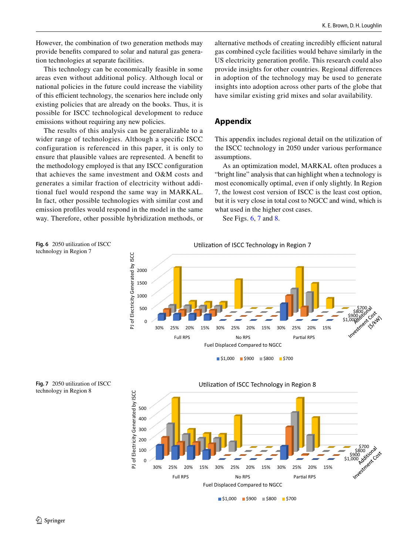However, the combination of two generation methods may provide benefts compared to solar and natural gas generation technologies at separate facilities.

This technology can be economically feasible in some areas even without additional policy. Although local or national policies in the future could increase the viability of this efficient technology, the scenarios here include only existing policies that are already on the books. Thus, it is possible for ISCC technological development to reduce emissions without requiring any new policies.

The results of this analysis can be generalizable to a wider range of technologies. Although a specifc ISCC configuration is referenced in this paper, it is only to ensure that plausible values are represented. A beneft to the methodology employed is that any ISCC confguration that achieves the same investment and O&M costs and generates a similar fraction of electricity without additional fuel would respond the same way in MARKAL. In fact, other possible technologies with similar cost and emission profles would respond in the model in the same way. Therefore, other possible hybridization methods, or alternative methods of creating incredibly efficient natural gas combined cycle facilities would behave similarly in the US electricity generation profle. This research could also provide insights for other countries. Regional diferences in adoption of the technology may be used to generate insights into adoption across other parts of the globe that have similar existing grid mixes and solar availability.

# <span id="page-11-0"></span>**Appendix**

This appendix includes regional detail on the utilization of the ISCC technology in 2050 under various performance assumptions.

As an optimization model, MARKAL often produces a "bright line" analysis that can highlight when a technology is most economically optimal, even if only slightly. In Region 7, the lowest cost version of ISCC is the least cost option, but it is very close in total cost to NGCC and wind, which is what used in the higher cost cases.

See Figs. [6,](#page-11-1) [7](#page-11-2) and [8](#page-12-24).

<span id="page-11-1"></span>



<span id="page-11-2"></span>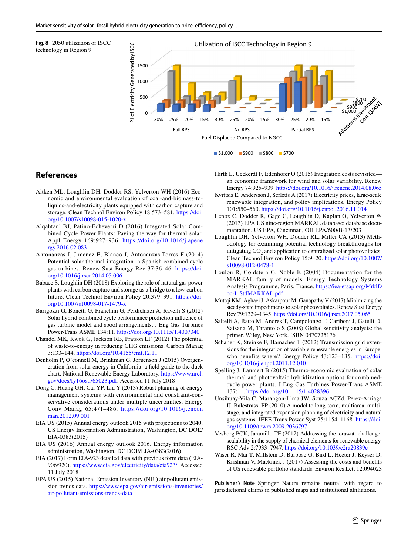<span id="page-12-24"></span>



# **References**

- <span id="page-12-18"></span>Aitken ML, Loughlin DH, Dodder RS, Yelverton WH (2016) Economic and environmental evaluation of coal-and-biomass-toliquids-and-electricity plants equipped with carbon capture and storage. Clean Technol Environ Policy 18:573–581. [https://doi.](https://doi.org/10.1007/s10098-015-1020-z) [org/10.1007/s10098-015-1020-z](https://doi.org/10.1007/s10098-015-1020-z)
- <span id="page-12-14"></span>Alqahtani BJ, Patino-Echeverri D (2016) Integrated Solar Combined Cycle Power Plants: Paving the way for thermal solar. Appl Energy 169:927–936. [https://doi.org/10.1016/j.apene](https://doi.org/10.1016/j.apenergy.2016.02.083) [rgy.2016.02.083](https://doi.org/10.1016/j.apenergy.2016.02.083)
- <span id="page-12-12"></span>Antonanzas J, Jimenez E, Blanco J, Antonanzas-Torres F (2014) Potential solar thermal integration in Spanish combined cycle gas turbines. Renew Sust Energy Rev 37:36–46. [https://doi.](https://doi.org/10.1016/j.rser.2014.05.006) [org/10.1016/j.rser.2014.05.006](https://doi.org/10.1016/j.rser.2014.05.006)
- <span id="page-12-19"></span>Babaee S, Loughlin DH (2018) Exploring the role of natural gas power plants with carbon capture and storage as a bridge to a low-carbon future. Clean Technol Environ Policy 20:379–391. [https://doi.](https://doi.org/10.1007/s10098-017-1479-x) [org/10.1007/s10098-017-1479-x](https://doi.org/10.1007/s10098-017-1479-x)
- <span id="page-12-15"></span>Barigozzi G, Bonetti G, Franchini G, Perdichizzi A, Ravelli S (2012) Solar hybrid combined cycle performance prediction infuence of gas turbine model and spool arrangements. J Eng Gas Turbines Power-Trans ASME 134:11. <https://doi.org/10.1115/1.4007340>
- <span id="page-12-23"></span>Chandel MK, Kwok G, Jackson RB, Pratson LF (2012) The potential of waste-to-energy in reducing GHG emissions. Carbon Manag 3:133–144.<https://doi.org/10.4155/cmt.12.11>
- <span id="page-12-9"></span>Denholm P, O'connell M, Brinkman G, Jorgenson J (2015) Overgeneration from solar energy in California: a feld guide to the duck chart. National Renewable Energy Laboratory. [https://www.nrel.](https://www.nrel.gov/docs/fy16osti/65023.pdf) [gov/docs/fy16osti/65023.pdf.](https://www.nrel.gov/docs/fy16osti/65023.pdf) Accessed 11 July 2018
- <span id="page-12-0"></span>Dong C, Huang GH, Cai YP, Liu Y (2013) Robust planning of energy management systems with environmental and constraint-conservative considerations under multiple uncertainties. Energy Conv Manag 65:471–486. [https://doi.org/10.1016/j.encon](https://doi.org/10.1016/j.enconman.2012.09.001) [man.2012.09.001](https://doi.org/10.1016/j.enconman.2012.09.001)
- <span id="page-12-22"></span>EIA US (2015) Annual energy outlook 2015 with projections to 2040. US Energy Information Administration, Washington, DC DOE/ EIA-0383(2015)
- <span id="page-12-3"></span>EIA US (2016) Annual energy outlook 2016. Energy information administration, Washington, DC DOE/EIA-0383(2016)
- <span id="page-12-5"></span>EIA (2017) Form EIA-923 detailed data with previous form data (EIA-906/920). [https://www.eia.gov/electricity/data/eia923/.](https://www.eia.gov/electricity/data/eia923/) Accessed 11 July 2018
- <span id="page-12-2"></span>EPA US (2015) National Emission Inventory (NEI) air pollutant emission trends data. [https://www.epa.gov/air-emissions-inventories/](https://www.epa.gov/air-emissions-inventories/air-pollutant-emissions-trends-data) [air-pollutant-emissions-trends-data](https://www.epa.gov/air-emissions-inventories/air-pollutant-emissions-trends-data)
- <span id="page-12-6"></span>Hirth L, Ueckerdt F, Edenhofer O (2015) Integration costs revisited an economic framework for wind and solar variability. Renew Energy 74:925–939. <https://doi.org/10.1016/j.renene.2014.08.065>
- <span id="page-12-10"></span>Kyritsis E, Andersson J, Serletis A (2017) Electricity prices, large-scale renewable integration, and policy implications. Energy Policy 101:550–560. <https://doi.org/10.1016/j.enpol.2016.11.014>
- <span id="page-12-21"></span>Lenox C, Dodder R, Gage C, Loughlin D, Kaplan O, Yelverton W (2013) EPA US nine-region MARKAL database: database documentation. US EPA, Cincinnati, OH EPA/600/B-13/203
- <span id="page-12-20"></span>Loughlin DH, Yelverton WH, Dodder RL, Miller CA (2013) Methodology for examining potential technology breakthroughs for mitigating  $CO<sub>2</sub>$  and application to centralized solar photovoltaics. Clean Technol Environ Policy 15:9–20. [https://doi.org/10.1007/](https://doi.org/10.1007/s10098-012-0478-1) [s10098-012-0478-1](https://doi.org/10.1007/s10098-012-0478-1)
- <span id="page-12-16"></span>Loulou R, Goldstein G, Noble K (2004) Documentation for the MARKAL family of models. Energy Technology Systems Analysis Programme, Paris, France. [https://iea-etsap.org/MrklD](https://iea-etsap.org/MrklDoc-I_StdMARKAL.pdf) [oc-I\\_StdMARKAL.pdf](https://iea-etsap.org/MrklDoc-I_StdMARKAL.pdf)
- <span id="page-12-7"></span>Muttqi KM, Aghaei J, Askarpour M, Ganapathy V (2017) Minimizing the steady-state impediments to solar photovoltaics. Renew Sust Energy Rev 79:1329–1345.<https://doi.org/10.1016/j.rser.2017.05.065>
- <span id="page-12-17"></span>Saltelli A, Ratto M, Andres T, Campolongo F, Cariboni J, Gatelli D, Saisana M, Tarantolo S (2008) Global sensitivity analysis: the primer. Wiley, New York. ISBN 0470725176
- <span id="page-12-8"></span>Schaber K, Steinke F, Hamacher T (2012) Transmission grid extensions for the integration of variable renewable energies in Europe: who benefits where? Energy Policy 43:123-135. [https://doi.](https://doi.org/10.1016/j.enpol.2011.12.040) [org/10.1016/j.enpol.2011.12.040](https://doi.org/10.1016/j.enpol.2011.12.040)
- <span id="page-12-13"></span>Spelling J, Laumert B (2015) Thermo-economic evaluation of solar thermal and photovoltaic hybridization options for combinedcycle power plants. J Eng Gas Turbines Power-Trans ASME 137:11.<https://doi.org/10.1115/1.4028396>
- <span id="page-12-1"></span>Unsihuay-Vila C, Marangon-Lima JW, Souza ACZd, Perez-Arriaga IJ, Balestrassi PP (2010) A model to long-term, multiarea, multistage, and integrated expansion planning of electricity and natural gas systems. IEEE Trans Power Syst 25:1154–1168. [https://doi.](https://doi.org/10.1109/tpwrs.2009.2036797) [org/10.1109/tpwrs.2009.2036797](https://doi.org/10.1109/tpwrs.2009.2036797)
- <span id="page-12-4"></span>Vesborg PCK, Jaramillo TF (2012) Addressing the terawatt challenge: scalability in the supply of chemical elements for renewable energy. RSC Adv 2:7933–7947.<https://doi.org/10.1039/c2ra20839c>
- <span id="page-12-11"></span>Wiser R, Mai T, Millstein D, Barbose G, Bird L, Heeter J, Keyser D, Krishnan V, Macknick J (2017) Assessing the costs and benefts of US renewable portfolio standards. Environ Res Lett 12:094023

**Publisher's Note** Springer Nature remains neutral with regard to jurisdictional claims in published maps and institutional affiliations.